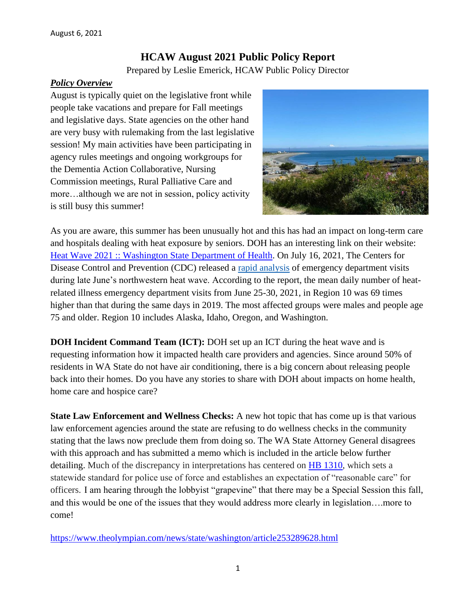# **HCAW August 2021 Public Policy Report**

Prepared by Leslie Emerick, HCAW Public Policy Director

#### *Policy Overview*

August is typically quiet on the legislative front while people take vacations and prepare for Fall meetings and legislative days. State agencies on the other hand are very busy with rulemaking from the last legislative session! My main activities have been participating in agency rules meetings and ongoing workgroups for the Dementia Action Collaborative, Nursing Commission meetings, Rural Palliative Care and more…although we are not in session, policy activity is still busy this summer!



As you are aware, this summer has been unusually hot and this has had an impact on long-term care and hospitals dealing with heat exposure by seniors. DOH has an interesting link on their website: [Heat Wave 2021 :: Washington State Department of Health.](https://www.doh.wa.gov/Emergencies/BePreparedBeSafe/SevereWeatherandNaturalDisasters/HotWeatherSafety/HeatWave2021) On July 16, 2021, The Centers for Disease Control and Prevention (CDC) released a rapid [analysis](https://www.cdc.gov/mmwr/volumes/70/wr/mm7029e1.htm?s_cid=mm7029e1_w) of emergency department visits during late June's northwestern heat wave. According to the report, the mean daily number of heatrelated illness emergency department visits from June 25-30, 2021, in Region 10 was 69 times higher than that during the same days in 2019. The most affected groups were males and people age 75 and older. Region 10 includes Alaska, Idaho, Oregon, and Washington.

**DOH Incident Command Team (ICT):** DOH set up an ICT during the heat wave and is requesting information how it impacted health care providers and agencies. Since around 50% of residents in WA State do not have air conditioning, there is a big concern about releasing people back into their homes. Do you have any stories to share with DOH about impacts on home health, home care and hospice care?

**State Law Enforcement and Wellness Checks:** A new hot topic that has come up is that various law enforcement agencies around the state are refusing to do wellness checks in the community stating that the laws now preclude them from doing so. The WA State Attorney General disagrees with this approach and has submitted a memo which is included in the article below further detailing. Much of the discrepancy in interpretations has centered on [HB 1310,](https://app.leg.wa.gov/billsummary?BillNumber=1310&Year=2021&Initiative=false) which sets a statewide standard for police use of force and establishes an expectation of "reasonable care" for officers. I am hearing through the lobbyist "grapevine" that there may be a Special Session this fall, and this would be one of the issues that they would address more clearly in legislation….more to come!

<https://www.theolympian.com/news/state/washington/article253289628.html>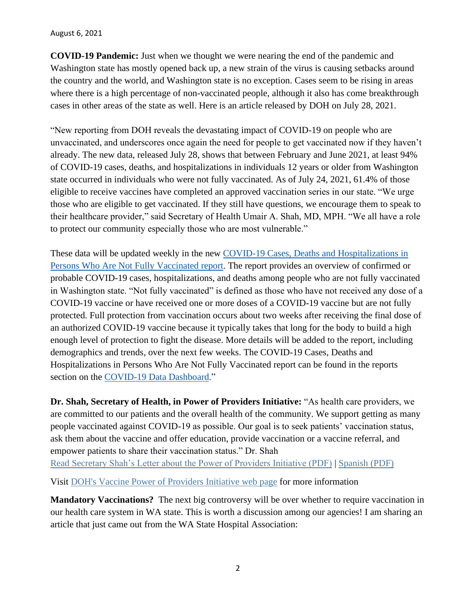#### August 6, 2021

**COVID-19 Pandemic:** Just when we thought we were nearing the end of the pandemic and Washington state has mostly opened back up, a new strain of the virus is causing setbacks around the country and the world, and Washington state is no exception. Cases seem to be rising in areas where there is a high percentage of non-vaccinated people, although it also has come breakthrough cases in other areas of the state as well. Here is an article released by DOH on July 28, 2021.

"New reporting from DOH reveals the devastating impact of COVID-19 on people who are unvaccinated, and underscores once again the need for people to get vaccinated now if they haven't already. The new data, released July 28, shows that between February and June 2021, at least 94% of COVID-19 cases, deaths, and hospitalizations in individuals 12 years or older from Washington state occurred in individuals who were not fully vaccinated. As of July 24, 2021, 61.4% of those eligible to receive vaccines have completed an approved vaccination series in our state. "We urge those who are eligible to get vaccinated. If they still have questions, we encourage them to speak to their healthcare provider," said Secretary of Health Umair A. Shah, MD, MPH. "We all have a role to protect our community especially those who are most vulnerable."

These data will be updated weekly in the new COVID-19 Cases, Deaths and [Hospitalizations](https://www.doh.wa.gov/Portals/1/Documents/1600/coronavirus/data-tables/421-010-CasesInNotFullyVaccinated.pdf) in Persons Who Are Not Fully [Vaccinated](https://www.doh.wa.gov/Portals/1/Documents/1600/coronavirus/data-tables/421-010-CasesInNotFullyVaccinated.pdf) report. The report provides an overview of confirmed or probable COVID-19 cases, hospitalizations, and deaths among people who are not fully vaccinated in Washington state. "Not fully vaccinated" is defined as those who have not received any dose of a COVID-19 vaccine or have received one or more doses of a COVID-19 vaccine but are not fully protected. Full protection from vaccination occurs about two weeks after receiving the final dose of an authorized COVID-19 vaccine because it typically takes that long for the body to build a high enough level of protection to fight the disease. More details will be added to the report, including demographics and trends, over the next few weeks. The COVID-19 Cases, Deaths and Hospitalizations in Persons Who Are Not Fully Vaccinated report can be found in the reports section on the [COVID-19](https://www.doh.wa.gov/Emergencies/COVID19/DataDashboard) Data Dashboard."

**Dr. Shah, Secretary of Health, in Power of Providers Initiative:** "As health care providers, we are committed to our patients and the overall health of the community. We support getting as many people vaccinated against COVID-19 as possible. Our goal is to seek patients' vaccination status, ask them about the vaccine and offer education, provide vaccination or a vaccine referral, and empower patients to share their vaccination status." Dr. Shah [Read Secretary Shah's Letter about the Power of Providers Initiative \(PDF\)](https://lnks.gd/l/eyJhbGciOiJIUzI1NiJ9.eyJidWxsZXRpbl9saW5rX2lkIjoxMDAsInVyaSI6ImJwMjpjbGljayIsImJ1bGxldGluX2lkIjoiMjAyMTA3MzAuNDM5NDU1NzEiLCJ1cmwiOiJodHRwczovL3d3dy5kb2gud2EuZ292L1BvcnRhbHMvMS9Eb2N1bWVudHMvMTYwMC9jb3JvbmF2aXJ1cy9TZWNyZXRhcnlTaGFoUE9QTGV0dGVyLnBkZiJ9.5IUwr-rjwstztA6n88JzlTLZLWW1KkHuSwR1Q_9UUkU/s/717258116/br/110200125318-l) | [Spanish \(PDF\)](https://lnks.gd/l/eyJhbGciOiJIUzI1NiJ9.eyJidWxsZXRpbl9saW5rX2lkIjoxMDEsInVyaSI6ImJwMjpjbGljayIsImJ1bGxldGluX2lkIjoiMjAyMTA3MzAuNDM5NDU1NzEiLCJ1cmwiOiJodHRwczovL3d3dy5kb2gud2EuZ292L1BvcnRhbHMvMS9Eb2N1bWVudHMvMTYwMC9jb3JvbmF2aXJ1cy9TZWNyZXRhcnlTaGFoUE9QTGV0dGVyLVNwYW5pc2gucGRmIn0.616c2hQqMNZlId_zPwOYbIvQLBHaLinCLIV3D0wT0FM/s/717258116/br/110200125318-l)

Visit DOH's Vaccine [Power of Providers Initiative web page](https://lnks.gd/l/eyJhbGciOiJIUzI1NiJ9.eyJidWxsZXRpbl9saW5rX2lkIjoxMDIsInVyaSI6ImJwMjpjbGljayIsImJ1bGxldGluX2lkIjoiMjAyMTA3MzAuNDM5NDU1NzEiLCJ1cmwiOiJodHRwczovL3d3dy5kb2gud2EuZ292L0VtZXJnZW5jaWVzL0NPVklEMTkvVmFjY2luZUluZm9ybWF0aW9uL1Bvd2Vyb2ZQcm92aWRlcnNJbml0aWF0aXZlIn0.NaF93PPTzuKHVTM4zZfga_TQKKWbSwPojtnPgJ7ofzU/s/717258116/br/110200125318-l) for more information

**Mandatory Vaccinations?** The next big controversy will be over whether to require vaccination in our health care system in WA state. This is worth a discussion among our agencies! I am sharing an article that just came out from the WA State Hospital Association: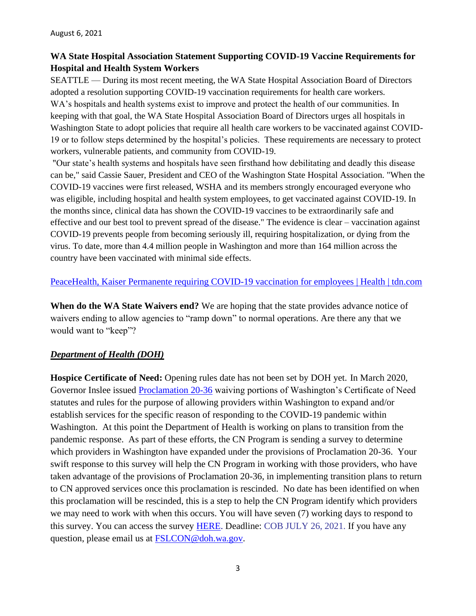## **WA State Hospital Association Statement Supporting COVID-19 Vaccine Requirements for Hospital and Health System Workers**

SEATTLE — During its most recent meeting, the WA State Hospital Association Board of Directors adopted a resolution supporting COVID-19 vaccination requirements for health care workers. WA's hospitals and health systems exist to improve and protect the health of our communities. In keeping with that goal, the WA State Hospital Association Board of Directors urges all hospitals in Washington State to adopt policies that require all health care workers to be vaccinated against COVID-19 or to follow steps determined by the hospital's policies. These requirements are necessary to protect workers, vulnerable patients, and community from COVID-19.

"Our state's health systems and hospitals have seen firsthand how debilitating and deadly this disease can be," said Cassie Sauer, President and CEO of the Washington State Hospital Association. "When the COVID-19 vaccines were first released, WSHA and its members strongly encouraged everyone who was eligible, including hospital and health system employees, to get vaccinated against COVID-19. In the months since, clinical data has shown the COVID-19 vaccines to be extraordinarily safe and effective and our best tool to prevent spread of the disease." The evidence is clear – vaccination against COVID-19 prevents people from becoming seriously ill, requiring hospitalization, or dying from the virus. To date, more than 4.4 million people in Washington and more than 164 million across the country have been vaccinated with minimal side effects.

### [PeaceHealth, Kaiser Permanente requiring COVID-19 vaccination for employees | Health | tdn.com](https://tdn.com/news/local/health/peacehealth-kaiser-permanente-requiring-covid-19-vaccination-for-employees/article_ce33e2d0-37f8-5f5c-943c-1703d80ec35f.html)

**When do the WA State Waivers end?** We are hoping that the state provides advance notice of waivers ending to allow agencies to "ramp down" to normal operations. Are there any that we would want to "keep"?

## *Department of Health (DOH)*

**Hospice Certificate of Need:** Opening rules date has not been set by DOH yet. In March 2020, Governor Inslee issued **Proclamation 20-36** waiving portions of Washington's Certificate of Need statutes and rules for the purpose of allowing providers within Washington to expand and/or establish services for the specific reason of responding to the COVID-19 pandemic within Washington. At this point the Department of Health is working on plans to transition from the pandemic response. As part of these efforts, the CN Program is sending a survey to determine which providers in Washington have expanded under the provisions of Proclamation 20-36. Your swift response to this survey will help the CN Program in working with those providers, who have taken advantage of the provisions of Proclamation 20-36, in implementing transition plans to return to CN approved services once this proclamation is rescinded. No date has been identified on when this proclamation will be rescinded, this is a step to help the CN Program identify which providers we may need to work with when this occurs. You will have seven (7) working days to respond to this survey. You can access the survey **HERE**. Deadline: COB JULY 26, 2021. If you have any question, please email us at **FSLCON@doh.wa.gov.**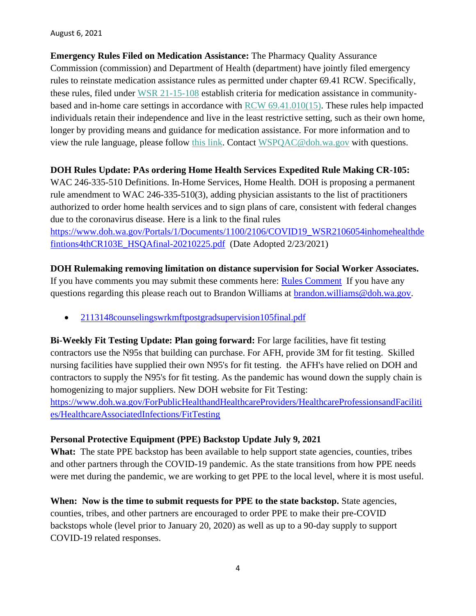August 6, 2021

**Emergency Rules Filed on Medication Assistance:** The Pharmacy Quality Assurance Commission (commission) and Department of Health (department) have jointly filed emergency rules to reinstate medication assistance rules as permitted under chapter 69.41 RCW. Specifically, these rules, filed under [WSR 21-15-108](https://lnks.gd/l/eyJhbGciOiJIUzI1NiJ9.eyJidWxsZXRpbl9saW5rX2lkIjoxMDEsInVyaSI6ImJwMjpjbGljayIsImJ1bGxldGluX2lkIjoiMjAyMTA3MjYuNDM3MjY5MjEiLCJ1cmwiOiJodHRwczovL2NvbnRlbnQuZ292ZGVsaXZlcnkuY29tL2F0dGFjaG1lbnRzL1dBRE9ILzIwMjEvMDcvMjYvZmlsZV9hdHRhY2htZW50cy8xODg4Njg0L1dTUjIxMTUxMDhwaGFybWFjeW1lZGljYXRpb25hc3Npc3RhbmNlMTAzZWZpbmFsLnBkZiJ9.rgNlZsR4Q1GlqI7u8w9Vc68MRVlLw_hUDm9l_vusu2s/s/717258116/br/109942125099-l) establish criteria for medication assistance in communitybased and in-home care settings in accordance with [RCW 69.41.010\(15\).](https://lnks.gd/l/eyJhbGciOiJIUzI1NiJ9.eyJidWxsZXRpbl9saW5rX2lkIjoxMDIsInVyaSI6ImJwMjpjbGljayIsImJ1bGxldGluX2lkIjoiMjAyMTA3MjYuNDM3MjY5MjEiLCJ1cmwiOiJodHRwczovL2FwcC5sZWcud2EuZ292L1JDVy9kZWZhdWx0LmFzcHg_Y2l0ZT02OS40MS4wMTAifQ.sG6J82QbLgXSy6-PWvASO4iL_RQnwy4hvSiDOrbr24g/s/717258116/br/109942125099-l) These rules help impacted individuals retain their independence and live in the least restrictive setting, such as their own home, longer by providing means and guidance for medication assistance. For more information and to view the rule language, please follow [this link.](https://lnks.gd/l/eyJhbGciOiJIUzI1NiJ9.eyJidWxsZXRpbl9saW5rX2lkIjoxMDMsInVyaSI6ImJwMjpjbGljayIsImJ1bGxldGluX2lkIjoiMjAyMTA3MjYuNDM3MjY5MjEiLCJ1cmwiOiJodHRwczovL2NvbnRlbnQuZ292ZGVsaXZlcnkuY29tL2F0dGFjaG1lbnRzL1dBRE9ILzIwMjEvMDcvMjYvZmlsZV9hdHRhY2htZW50cy8xODg4Njg0L1dTUjIxMTUxMDhwaGFybWFjeW1lZGljYXRpb25hc3Npc3RhbmNlMTAzZWZpbmFsLnBkZiJ9.XbGpZlG_kPeCBM_HV0SwMWaTcbLYDBiiaoBCHixY3Vs/s/717258116/br/109942125099-l) Contact [WSPQAC@doh.wa.gov](mailto:WSPQAC@doh.wa.gov) with questions.

### **DOH Rules Update: PAs ordering Home Health Services Expedited Rule Making CR-105:**

WAC 246-335-510 Definitions. In-Home Services, Home Health. DOH is proposing a permanent rule amendment to WAC 246-335-510(3), adding physician assistants to the list of practitioners authorized to order home health services and to sign plans of care, consistent with federal changes due to the coronavirus disease. Here is a link to the final rules

[https://www.doh.wa.gov/Portals/1/Documents/1100/2106/COVID19\\_WSR2106054inhomehealthde](https://urldefense.proofpoint.com/v2/url?u=https-3A__www.doh.wa.gov_Portals_1_Documents_1100_2106_COVID19-5FWSR2106054inhomehealthdefintions4thCR103E-5FHSQAfinal-2D20210225.pdf&d=DwMFAg&c=KoC5GYBOIefzxGAm2j6cjFf-Gz7ANghQIP9aFG9DuBs&r=JFSX2FZr_wMld8njq9RXTR5nVpfLZCXhK8TJJ2jqEeE&m=mYDLf7D3I262oXHBUYHqWmrdSalcMScKYhKg1RNIbUM&s=bA6EjMykuF8Z9wdOzEM8jkD0NLW3wvL9wPVgNGlw1eQ&e=) [fintions4thCR103E\\_HSQAfinal-20210225.pdf](https://urldefense.proofpoint.com/v2/url?u=https-3A__www.doh.wa.gov_Portals_1_Documents_1100_2106_COVID19-5FWSR2106054inhomehealthdefintions4thCR103E-5FHSQAfinal-2D20210225.pdf&d=DwMFAg&c=KoC5GYBOIefzxGAm2j6cjFf-Gz7ANghQIP9aFG9DuBs&r=JFSX2FZr_wMld8njq9RXTR5nVpfLZCXhK8TJJ2jqEeE&m=mYDLf7D3I262oXHBUYHqWmrdSalcMScKYhKg1RNIbUM&s=bA6EjMykuF8Z9wdOzEM8jkD0NLW3wvL9wPVgNGlw1eQ&e=) (Date Adopted 2/23/2021)

**DOH Rulemaking removing limitation on distance supervision for Social Worker Associates.**  If you have comments you may submit these comments here: [Rules Comment](https://lnks.gd/l/eyJhbGciOiJIUzI1NiJ9.eyJidWxsZXRpbl9saW5rX2lkIjoxMDAsInVyaSI6ImJwMjpjbGljayIsImJ1bGxldGluX2lkIjoiMjAyMTA3MDIuNDI3Njk1NjEiLCJ1cmwiOiJodHRwczovL2djYzAyLnNhZmVsaW5rcy5wcm90ZWN0aW9uLm91dGxvb2suY29tLz91cmw9aHR0cHMlM0ElMkYlMkZmb3J0cmVzcy53YS5nb3YlMkZkb2glMkZwb2xpY3lyZXZpZXclMkYmZGF0YT0wNCU3QzAxJTdDQnJhbmRvbi5XaWxsaWFtcyU0MERPSC5XQS5HT1YlN0M1OWI5MDI2YzFhNTU0NmIxNzZmNTA4ZDkzNjc0NzBhNiU3QzExZDBlMjE3MjY0ZTQwMGE4YmEwNTdkY2MxMjdkNzJkJTdDMCU3QzAlN0M2Mzc2MDA2OTU5OTI0NjczOTklN0NVbmtub3duJTdDVFdGcGJHWnNiM2Q4ZXlKV0lqb2lNQzR3TGpBd01EQWlMQ0pRSWpvaVYybHVNeklpTENKQlRpSTZJazFoYVd3aUxDSlhWQ0k2TW4wJTNEJTdDMTAwMCZzZGF0YT1NR3BxYUpkRG9uWXJNc0FwMk1Wa3FrQTJxTG5wJTJCYUpheFJUQmY2WXF4Z3MlM0QmcmVzZXJ2ZWQ9MCJ9.IgKnoLTJYTNVcCxQpHvoHwSZIkveaacwfD3wwreU388/s/717258116/br/108820302323-l) If you have any questions regarding this please reach out to Brandon Williams at [brandon.williams@doh.wa.gov.](mailto:brandon.williams@doh.wa.gov)

• [2113148counselingswrkmftpostgradsupervision105final.pdf](https://lnks.gd/l/eyJhbGciOiJIUzI1NiJ9.eyJidWxsZXRpbl9saW5rX2lkIjoxMDEsInVyaSI6ImJwMjpjbGljayIsImJ1bGxldGluX2lkIjoiMjAyMTA3MDIuNDI3Njk1NjEiLCJ1cmwiOiJodHRwczovL2NvbnRlbnQuZ292ZGVsaXZlcnkuY29tL2F0dGFjaG1lbnRzL1dBRE9ILzIwMjEvMDcvMDIvZmlsZV9hdHRhY2htZW50cy8xODcwNTEwLzIxMTMxNDhjb3Vuc2VsaW5nc3dya21mdHBvc3RncmFkc3VwZXJ2aXNpb24xMDVmaW5hbC5wZGYifQ.ls0Bw36s7XNsR6KP53OeepJDV5gTB8OHkpGryVFS9rc/s/717258116/br/108820302323-l)

**Bi-Weekly Fit Testing Update: Plan going forward:** For large facilities, have fit testing contractors use the N95s that building can purchase. For AFH, provide 3M for fit testing. Skilled nursing facilities have supplied their own N95's for fit testing. the AFH's have relied on DOH and contractors to supply the N95's for fit testing. As the pandemic has wound down the supply chain is homogenizing to major suppliers. New DOH website for Fit Testing: [https://www.doh.wa.gov/ForPublicHealthandHealthcareProviders/HealthcareProfessionsandFaciliti](https://gcc02.safelinks.protection.outlook.com/?url=https%3A%2F%2Fwww.doh.wa.gov%2FForPublicHealthandHealthcareProviders%2FHealthcareProfessionsandFacilities%2FHealthcareAssociatedInfections%2FFitTesting&data=04%7C01%7Ccarolyn.ham%40doh.wa.gov%7C15680622f0f94d6ae15108d93bf09ecf%7C11d0e217264e400a8ba057dcc127d72d%7C0%7C0%7C637606726907409588%7CUnknown%7CTWFpbGZsb3d8eyJWIjoiMC4wLjAwMDAiLCJQIjoiV2luMzIiLCJBTiI6Ik1haWwiLCJXVCI6Mn0%3D%7C1000&sdata=n2t03kLcTt9ZTVkrx4XlQW4w7tVsClOEjfLYW%2Fv1tvc%3D&reserved=0) [es/HealthcareAssociatedInfections/FitTesting](https://gcc02.safelinks.protection.outlook.com/?url=https%3A%2F%2Fwww.doh.wa.gov%2FForPublicHealthandHealthcareProviders%2FHealthcareProfessionsandFacilities%2FHealthcareAssociatedInfections%2FFitTesting&data=04%7C01%7Ccarolyn.ham%40doh.wa.gov%7C15680622f0f94d6ae15108d93bf09ecf%7C11d0e217264e400a8ba057dcc127d72d%7C0%7C0%7C637606726907409588%7CUnknown%7CTWFpbGZsb3d8eyJWIjoiMC4wLjAwMDAiLCJQIjoiV2luMzIiLCJBTiI6Ik1haWwiLCJXVCI6Mn0%3D%7C1000&sdata=n2t03kLcTt9ZTVkrx4XlQW4w7tVsClOEjfLYW%2Fv1tvc%3D&reserved=0)

### **Personal Protective Equipment (PPE) Backstop Update July 9, 2021**

What: The state PPE backstop has been available to help support state agencies, counties, tribes and other partners through the COVID-19 pandemic. As the state transitions from how PPE needs were met during the pandemic, we are working to get PPE to the local level, where it is most useful.

**When: Now is the time to submit requests for PPE to the state backstop.** State agencies, counties, tribes, and other partners are encouraged to order PPE to make their pre-COVID backstops whole (level prior to January 20, 2020) as well as up to a 90-day supply to support COVID-19 related responses.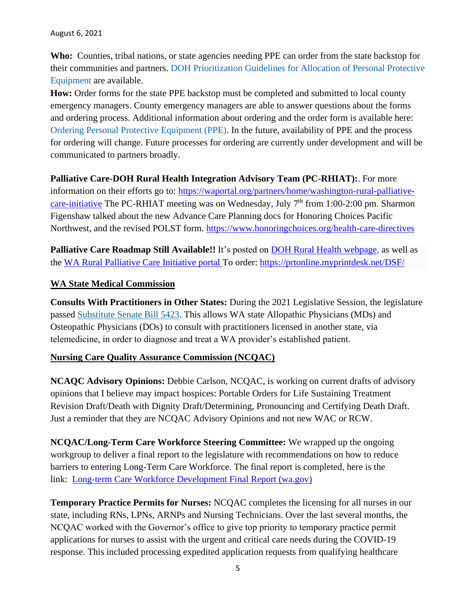**Who:** Counties, tribal nations, or state agencies needing PPE can order from the state backstop for their communities and partners. DOH Prioritization Guidelines for Allocation of Personal Protective Equipment are available.

How: Order forms for the state PPE backstop must be completed and submitted to local county emergency managers. County emergency managers are able to answer questions about the forms and ordering process. Additional information about ordering and the order form is available here: Ordering Personal Protective Equipment (PPE). In the future, availability of PPE and the process for ordering will change. Future processes for ordering are currently under development and will be communicated to partners broadly.

**Palliative Care-DOH Rural Health Integration Advisory Team (PC-RHIAT):**. For more information on their efforts go to: [https://waportal.org/partners/home/washington-rural-palliative](https://waportal.org/partners/home/washington-rural-palliative-care-initiative)[care-initiative](https://waportal.org/partners/home/washington-rural-palliative-care-initiative) The PC-RHIAT meeting was on Wednesday, July  $7<sup>th</sup>$  from 1:00-2:00 pm. Sharmon Figenshaw talked about the new Advance Care Planning docs for Honoring Choices Pacific Northwest, and the revised POLST form. <https://www.honoringchoices.org/health-care-directives>

**Palliative Care Roadmap Still Available!!** It's posted on [DOH Rural Health webpage,](https://www.doh.wa.gov/ForPublicHealthandHealthcareProviders/RuralHealth) as well as the [WA Rural Palliative Care Initiative portal T](https://waportal.org/partners/home/washington-rural-palliative-care-initiative)o order: <https://prtonline.myprintdesk.net/DSF/>

### **WA State Medical Commission**

**Consults With Practitioners in Other States:** During the 2021 Legislative Session, the legislature passed [Substitute Senate Bill 5423.](https://na01.safelinks.protection.outlook.com/?url=https%3A%2F%2Flnks.gd%2Fl%2FeyJhbGciOiJIUzI1NiJ9.eyJidWxsZXRpbl9saW5rX2lkIjoxMDMsInVyaSI6ImJwMjpjbGljayIsImJ1bGxldGluX2lkIjoiMjAyMTA3MDkuNDMwMzcxNzEiLCJ1cmwiOiJodHRwOi8vbGF3ZmlsZXNleHQubGVnLndhLmdvdi9iaWVubml1bS8yMDIxLTIyL1BkZi9CaWxscy9TZW5hdGUlMjBQYXNzZWQlMjBMZWdpc2xhdHVyZS81NDIzLVMuUEwucGRmP3E9MjAyMTA2MDIxMzI3NTkifQ.NOq4zVOL2IFbzuwViRomytrhhNs2uFSGtb6wIwlWWmo%2Fs%2F946843739%2Fbr%2F109121952329-l&data=04%7C01%7C%7C924e6dc6311f4ca8261608d94332a71a%7C84df9e7fe9f640afb435aaaaaaaaaaaa%7C1%7C0%7C637614707105848057%7CUnknown%7CTWFpbGZsb3d8eyJWIjoiMC4wLjAwMDAiLCJQIjoiV2luMzIiLCJBTiI6Ik1haWwiLCJXVCI6Mn0%3D%7C1000&sdata=BLxXqqIz1umDZA13HVhnMkJwirEQ4ggJHv6rZdqLUKQ%3D&reserved=0) This allows WA state Allopathic Physicians (MDs) and Osteopathic Physicians (DOs) to consult with practitioners licensed in another state, via telemedicine, in order to diagnose and treat a WA provider's established patient.

### **Nursing Care Quality Assurance Commission (NCQAC)**

**NCAQC Advisory Opinions:** Debbie Carlson, NCQAC, is working on current drafts of advisory opinions that I believe may impact hospices: Portable Orders for Life Sustaining Treatment Revision Draft/Death with Dignity Draft/Determining, Pronouncing and Certifying Death Draft. Just a reminder that they are NCQAC Advisory Opinions and not new WAC or RCW.

**NCQAC/Long-Term Care Workforce Steering Committee:** We wrapped up the ongoing workgroup to deliver a final report to the legislature with recommendations on how to reduce barriers to entering Long-Term Care Workforce. The final report is completed, here is the link: [Long-term Care Workforce Development Final Report \(wa.gov\)](https://www.doh.wa.gov/Portals/1/Documents/6000/2021LTCWorkforceDevelopmentReport.pdf)

**Temporary Practice Permits for Nurses:** NCQAC completes the licensing for all nurses in our state, including RNs, LPNs, ARNPs and Nursing Technicians. Over the last several months, the NCQAC worked with the Governor's office to give top priority to temporary practice permit applications for nurses to assist with the urgent and critical care needs during the COVID-19 response. This included processing expedited application requests from qualifying healthcare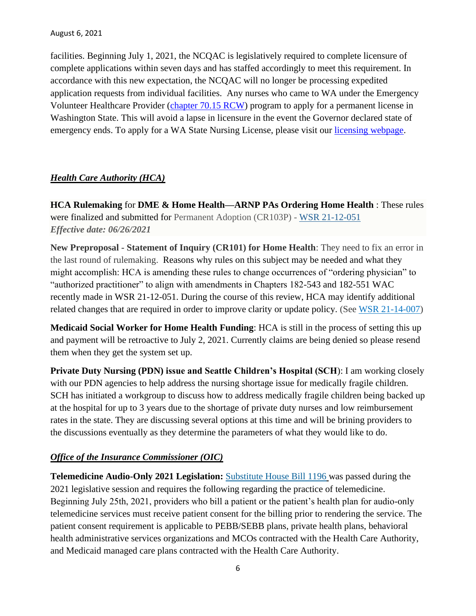facilities. Beginning July 1, 2021, the NCQAC is legislatively required to complete licensure of complete applications within seven days and has staffed accordingly to meet this requirement. In accordance with this new expectation, the NCQAC will no longer be processing expedited application requests from individual facilities. Any nurses who came to WA under the Emergency Volunteer Healthcare Provider (*chapter 70.15 RCW*) program to apply for a permanent license in Washington State. This will avoid a lapse in licensure in the event the Governor declared state of emergency ends. To apply for a WA State Nursing License, please visit our [licensing webpage.](https://na01.safelinks.protection.outlook.com/?url=https%3A%2F%2Flnks.gd%2Fl%2FeyJhbGciOiJIUzI1NiJ9.eyJidWxsZXRpbl9saW5rX2lkIjoxMDEsInVyaSI6ImJwMjpjbGljayIsImJ1bGxldGluX2lkIjoiMjAyMTA3MDEuNDI2OTU2OTEiLCJ1cmwiOiJodHRwczovL2djYzAyLnNhZmVsaW5rcy5wcm90ZWN0aW9uLm91dGxvb2suY29tLz91cmw9aHR0cHMlM0ElMkYlMkZ3d3cuZG9oLndhLmdvdiUyRkxpY2Vuc2VzUGVybWl0c2FuZENlcnRpZmljYXRlcyUyRk51cnNpbmdDb21taXNzaW9uJTJGTnVyc2VMaWNlbnNpbmclMkZBcHBseWZvcmFMaWNlbnNlJTIzRW1lcmdJbnRlcmltUGVybWl0cyZkYXRhPTA0JTdDMDElN0NBbGVqYW5kcm8uTGUlNDBkb2gud2EuZ292JTdDYmNlNWE2NTZkY2ExNDMwMTIyZDEwOGQ5M2NiNWEzMjIlN0MxMWQwZTIxNzI2NGU0MDBhOGJhMDU3ZGNjMTI3ZDcyZCU3QzAlN0MwJTdDNjM3NjA3NTczMDgxMjIyODMzJTdDVW5rbm93biU3Q1RXRnBiR1pzYjNkOGV5SldJam9pTUM0d0xqQXdNREFpTENKUUlqb2lWMmx1TXpJaUxDSkJUaUk2SWsxaGFXd2lMQ0pYVkNJNk1uMCUzRCU3QzEwMDAmc2RhdGE9RSUyRmdwZlpyJTJGSUZuOVFQY252R1JjWWxCT1ljSXR3ZEtzbUZ3TjY1N2ZGT2MlM0QmcmVzZXJ2ZWQ9MCJ9.L2g3HxhW2ZJQcT-bnXV4Jz2qPIkjyCx3EQhakAgWios%2Fs%2F716479064%2Fbr%2F108728464933-l&data=04%7C01%7C%7C3f8fd3c1e1284559513908d93cbab6e2%7C84df9e7fe9f640afb435aaaaaaaaaaaa%7C1%7C0%7C637607594894715903%7CUnknown%7CTWFpbGZsb3d8eyJWIjoiMC4wLjAwMDAiLCJQIjoiV2luMzIiLCJBTiI6Ik1haWwiLCJXVCI6Mn0%3D%7C1000&sdata=jbEYXFOqK4UXmKiqg7HkHWQgTp%2BSfJd9A3I2Ab7ve5k%3D&reserved=0)

## *Health Care Authority (HCA)*

**HCA Rulemaking** for **DME & Home Health—ARNP PAs Ordering Home Health** : These rules were finalized and submitted for Permanent Adoption (CR103P) - [WSR 21-12-051](https://www.hca.wa.gov/assets/103P-21-12-051.pdf) *Effective date: 06/26/2021*

**New Preproposal - Statement of Inquiry (CR101) for Home Health**: They need to fix an error in the last round of rulemaking. Reasons why rules on this subject may be needed and what they might accomplish: HCA is amending these rules to change occurrences of "ordering physician" to "authorized practitioner" to align with amendments in Chapters 182-543 and 182-551 WAC recently made in WSR 21-12-051. During the course of this review, HCA may identify additional related changes that are required in order to improve clarity or update policy. (See [WSR 21-14-007\)](https://lnks.gd/l/eyJhbGciOiJIUzI1NiJ9.eyJidWxsZXRpbl9saW5rX2lkIjoxMDIsInVyaSI6ImJwMjpjbGljayIsImJ1bGxldGluX2lkIjoiMjAyMTA3MDguNDI5Njg3MTEiLCJ1cmwiOiJodHRwczovL3d3dy5oY2Eud2EuZ292L2Fzc2V0cy8xMDEtMjEtMTQtMDA3LnBkZiJ9.2R5ugy67SChAWtoaZubfXeLQsQXyxvFgW8vYc7CdcNE/s/1523354080/br/109049734992-l)

**Medicaid Social Worker for Home Health Funding**: HCA is still in the process of setting this up and payment will be retroactive to July 2, 2021. Currently claims are being denied so please resend them when they get the system set up.

**Private Duty Nursing (PDN) issue and Seattle Children's Hospital (SCH**): I am working closely with our PDN agencies to help address the nursing shortage issue for medically fragile children. SCH has initiated a workgroup to discuss how to address medically fragile children being backed up at the hospital for up to 3 years due to the shortage of private duty nurses and low reimbursement rates in the state. They are discussing several options at this time and will be brining providers to the discussions eventually as they determine the parameters of what they would like to do.

## *Office of the Insurance Commissioner (OIC)*

**Telemedicine Audio-Only 2021 Legislation:** [Substitute House Bill 1196](https://na01.safelinks.protection.outlook.com/?url=https%3A%2F%2Flnks.gd%2Fl%2FeyJhbGciOiJIUzI1NiJ9.eyJidWxsZXRpbl9saW5rX2lkIjoxMDEsInVyaSI6ImJwMjpjbGljayIsImJ1bGxldGluX2lkIjoiMjAyMTA3MDkuNDMwMzcxNzEiLCJ1cmwiOiJodHRwOi8vbGF3ZmlsZXNleHQubGVnLndhLmdvdi9iaWVubml1bS8yMDIxLTIyL1BkZi9CaWxscy9Ib3VzZSUyMFBhc3NlZCUyMExlZ2lzbGF0dXJlLzExOTYtUy5QTC5wZGY_cT0yMDIxMDYwMjExMDAwNSJ9.CK-2KCexuR4Ynttl7qqhJURFe41wwpAFROzVFTyPBYM%2Fs%2F946843739%2Fbr%2F109121952329-l&data=04%7C01%7C%7C924e6dc6311f4ca8261608d94332a71a%7C84df9e7fe9f640afb435aaaaaaaaaaaa%7C1%7C0%7C637614707105838099%7CUnknown%7CTWFpbGZsb3d8eyJWIjoiMC4wLjAwMDAiLCJQIjoiV2luMzIiLCJBTiI6Ik1haWwiLCJXVCI6Mn0%3D%7C1000&sdata=FlG0FByQz5c7N5BKza%2FpWm7Vs9a9eRkFsZpQ9rPlsmU%3D&reserved=0) was passed during the 2021 legislative session and requires the following regarding the practice of telemedicine. Beginning July 25th, 2021, providers who bill a patient or the patient's health plan for audio-only telemedicine services must receive patient consent for the billing prior to rendering the service. The patient consent requirement is applicable to PEBB/SEBB plans, private health plans, behavioral health administrative services organizations and MCOs contracted with the Health Care Authority, and Medicaid managed care plans contracted with the Health Care Authority.